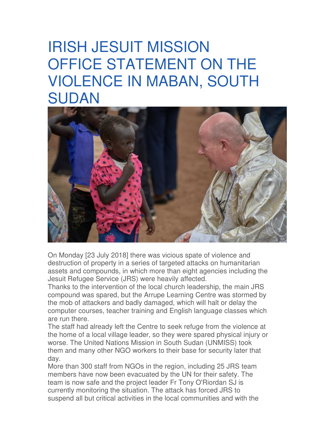## IRISH JESUIT MISSION OFFICE STATEMENT ON THE VIOLENCE IN MABAN, SOUTH SUDAN



On Monday [23 July 2018] there was vicious spate of violence and destruction of property in a series of targeted attacks on humanitarian assets and compounds, in which more than eight agencies including the Jesuit Refugee Service (JRS) were heavily affected.

Thanks to the intervention of the local church leadership, the main JRS compound was spared, but the Arrupe Learning Centre was stormed by the mob of attackers and badly damaged, which will halt or delay the computer courses, teacher training and English language classes which are run there.

The staff had already left the Centre to seek refuge from the violence at the home of a local village leader, so they were spared physical injury or worse. The United Nations Mission in South Sudan (UNMISS) took them and many other NGO workers to their base for security later that day.

More than 300 staff from NGOs in the region, including 25 JRS team members have now been evacuated by the UN for their safety. The team is now safe and the project leader Fr Tony O'Riordan SJ is currently monitoring the situation. The attack has forced JRS to suspend all but critical activities in the local communities and with the